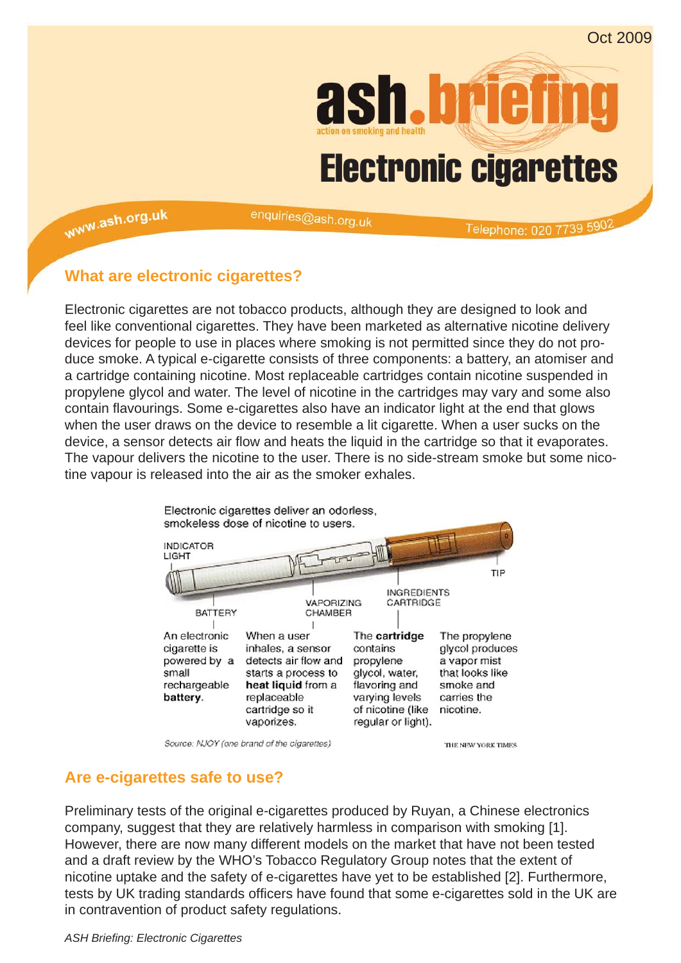

www.ash.org.uk

enquiries@ash.org.uk

Telephone: 020 7739 5902

### **What are electronic cigarettes?**

Electronic cigarettes are not tobacco products, although they are designed to look and feel like conventional cigarettes. They have been marketed as alternative nicotine delivery devices for people to use in places where smoking is not permitted since they do not produce smoke. A typical e-cigarette consists of three components: a battery, an atomiser and a cartridge containing nicotine. Most replaceable cartridges contain nicotine suspended in propylene glycol and water. The level of nicotine in the cartridges may vary and some also contain flavourings. Some e-cigarettes also have an indicator light at the end that glows when the user draws on the device to resemble a lit cigarette. When a user sucks on the device, a sensor detects air flow and heats the liquid in the cartridge so that it evaporates. The vapour delivers the nicotine to the user. There is no side-stream smoke but some nicotine vapour is released into the air as the smoker exhales.



Source: NJOY (one brand of the cigarettes)

THE NEW YORK TIMES

# **Are e-cigarettes safe to use?**

Preliminary tests of the original e-cigarettes produced by Ruyan, a Chinese electronics company, suggest that they are relatively harmless in comparison with smoking [1]. However, there are now many different models on the market that have not been tested and a draft review by the WHO's Tobacco Regulatory Group notes that the extent of nicotine uptake and the safety of e-cigarettes have yet to be established [2]. Furthermore, tests by UK trading standards officers have found that some e-cigarettes sold in the UK are in contravention of product safety regulations.

*ASH Briefi ng: Electronic Cigarettes*